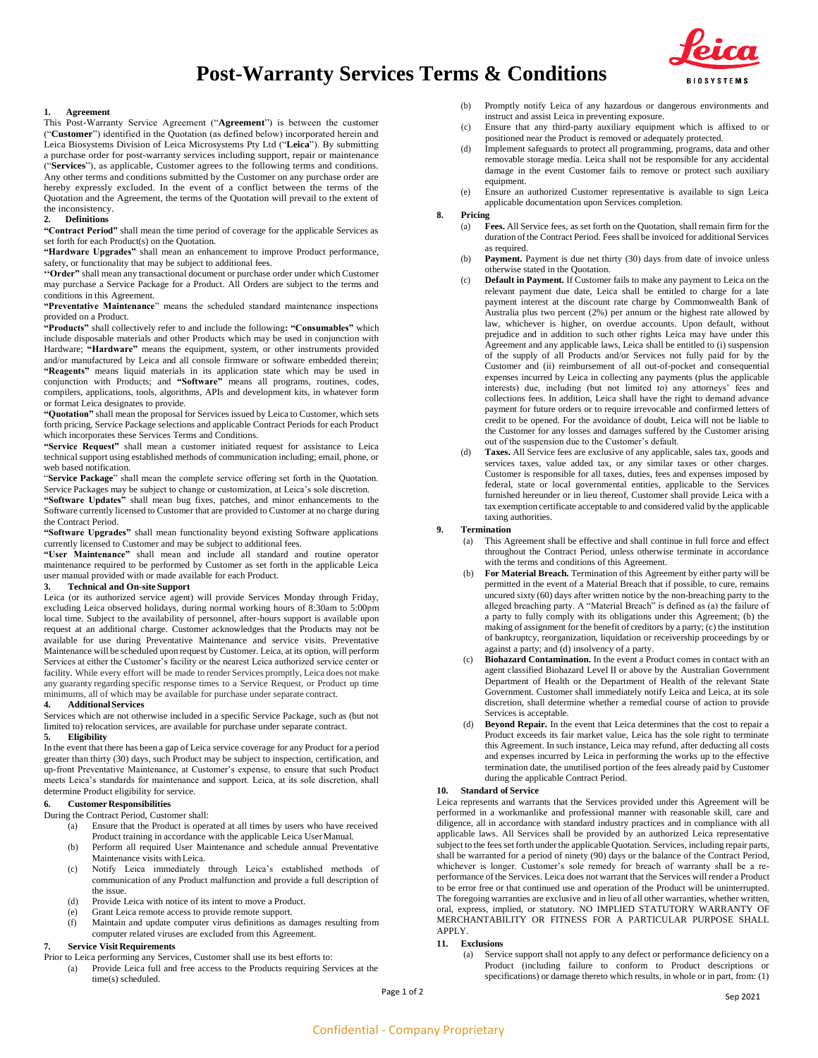



#### **1. Agreement**

This Post-Warranty Service Agreement ("**Agreement**") is between the customer ("**Customer**") identified in the Quotation (as defined below) incorporated herein and Leica Biosystems Division of Leica Microsystems Pty Ltd ("**Leica**"). By submitting a purchase order for post-warranty services including support, repair or maintenance ("**Services**"), as applicable, Customer agrees to the following terms and conditions. Any other terms and conditions submitted by the Customer on any purchase order are hereby expressly excluded. In the event of a conflict between the terms of the Quotation and the Agreement, the terms of the Quotation will prevail to the extent of the inconsistency.

# **2. Definitions**

**"Contract Period"** shall mean the time period of coverage for the applicable Services as set forth for each Product(s) on the Quotation.

**"Hardware Upgrades"** shall mean an enhancement to improve Product performance, safety, or functionality that may be subject to additional fees.

**''Order"** shall mean any transactional document or purchase order under which Customer may purchase a Service Package for a Product. All Orders are subject to the terms and conditions in this Agreement.

**"Preventative Maintenance**" means the scheduled standard maintenance inspections provided on a Product.

**"Products"** shall collectively refer to and include the following**: "Consumables"** which include disposable materials and other Products which may be used in conjunction with Hardware; **"Hardware"** means the equipment, system, or other instruments provided and/or manufactured by Leica and all console firmware or software embedded therein; **"Reagents"** means liquid materials in its application state which may be used in conjunction with Products; and **"Software"** means all programs, routines, codes, compilers, applications, tools, algorithms, APIs and development kits, in whatever form or format Leica designates to provide.

**"Quotation"** shall mean the proposal for Services issued by Leica to Customer, which sets forth pricing, Service Package selections and applicable Contract Periods for each Product which incorporates these Services Terms and Conditions.

**"Service Request"** shall mean a customer initiated request for assistance to Leica technical support using established methods of communication including; email, phone, or web based notification.

"**Service Package**" shall mean the complete service offering set forth in the Quotation. Service Packages may be subject to change or customization, at Leica's sole discretion.

**"Software Updates"** shall mean bug fixes, patches, and minor enhancements to the Software currently licensed to Customer that are provided to Customer at no charge during the Contract Period.

**"Software Upgrades"** shall mean functionality beyond existing Software applications currently licensed to Customer and may be subject to additional fees.

**"User Maintenance"** shall mean and include all standard and routine operator maintenance required to be performed by Customer as set forth in the applicable Leica user manual provided with or made available for each Product.

# **3. Technical and On-site Support**

Leica (or its authorized service agent) will provide Services Monday through Friday, excluding Leica observed holidays, during normal working hours of 8:30am to 5:00pm local time. Subject to the availability of personnel, after-hours support is available upon request at an additional charge. Customer acknowledges that the Products may not be available for use during Preventative Maintenance and service visits. Preventative Maintenance will be scheduled upon request by Customer. Leica, at its option, will perform Services at either the Customer's facility or the nearest Leica authorized service center or facility. While every effort will be made to render Services promptly, Leica does not make any guaranty regarding specific response times to a Service Request, or Product up time minimums, all of which may be available for purchase under separate contract.

#### **4. AdditionalServices**

Services which are not otherwise included in a specific Service Package, such as (but not limited to) relocation services, are available for purchase under separate contract. **5. Eligibility**

In the event that there has been a gap of Leica service coverage for any Product for a period greater than thirty (30) days, such Product may be subject to inspection, certification, and up-front Preventative Maintenance, at Customer's expense, to ensure that such Product meets Leica's standards for maintenance and support. Leica, at its sole discretion, shall determine Product eligibility for service.

## **6. Customer Responsibilities**

During the Contract Period, Customer shall:

(a) Ensure that the Product is operated at all times by users who have received Product training in accordance with the applicable Leica UserManual.

- (b) Perform all required User Maintenance and schedule annual Preventative Maintenance visits withLeica.
- (c) Notify Leica immediately through Leica's established methods of communication of any Product malfunction and provide a full description of the issue.
- (d) Provide Leica with notice of its intent to move a Product.
- (e) Grant Leica remote access to provide remote support.<br>(f) Maintain and undate computer virus definitions as d
- Maintain and update computer virus definitions as damages resulting from computer related viruses are excluded from this Agreement.

# **7. Service Visit Requirements**

Prior to Leica performing any Services, Customer shall use its best efforts to:

(a) Provide Leica full and free access to the Products requiring Services at the time(s) scheduled.

(b) Promptly notify Leica of any hazardous or dangerous environments and instruct and assist Leica in preventing exposure.

- (c) Ensure that any third-party auxiliary equipment which is affixed to or positioned near the Product is removed or adequately protected.
- (d) Implement safeguards to protect all programming, programs, data and other removable storage media. Leica shall not be responsible for any accidental damage in the event Customer fails to remove or protect such auxiliary equipment.
- (e) Ensure an authorized Customer representative is available to sign Leica applicable documentation upon Services completion.

## **8. Pricing**

- (a) **Fees.** All Service fees, as set forth on the Quotation, shall remain firm for the duration of the Contract Period. Fees shall be invoiced for additional Services as required.
- (b) **Payment.** Payment is due net thirty (30) days from date of invoice unless otherwise stated in the Quotation.
- (c) **Default in Payment.** If Customer fails to make any payment to Leica on the relevant payment due date, Leica shall be entitled to charge for a late payment interest at the discount rate charge by Commonwealth Bank of Australia plus two percent (2%) per annum or the highest rate allowed by law, whichever is higher, on overdue accounts. Upon default, without prejudice and in addition to such other rights Leica may have under this Agreement and any applicable laws, Leica shall be entitled to (i) suspension of the supply of all Products and/or Services not fully paid for by the Customer and (ii) reimbursement of all out-of-pocket and consequential expenses incurred by Leica in collecting any payments (plus the applicable interests) due, including (but not limited to) any attorneys' fees and collections fees. In addition, Leica shall have the right to demand advance payment for future orders or to require irrevocable and confirmed letters of credit to be opened. For the avoidance of doubt, Leica will not be liable to the Customer for any losses and damages suffered by the Customer arising out of the suspension due to the Customer's default.
- (d) **Taxes.** All Service fees are exclusive of any applicable, sales tax, goods and services taxes, value added tax, or any similar taxes or other charges. Customer is responsible for all taxes, duties, fees and expenses imposed by federal, state or local governmental entities, applicable to the Services furnished hereunder or in lieu thereof, Customer shall provide Leica with a tax exemption certificate acceptable to and considered valid by the applicable taxing authorities.

#### **9. Termination**

- (a) This Agreement shall be effective and shall continue in full force and effect throughout the Contract Period, unless otherwise terminate in accordance with the terms and conditions of this Agreement.
- (b) **For Material Breach.** Termination of this Agreement by either party will be permitted in the event of a Material Breach that if possible, to cure, remains uncured sixty (60) days after written notice by the non-breaching party to the alleged breaching party. A "Material Breach" is defined as (a) the failure of a party to fully comply with its obligations under this Agreement; (b) the making of assignment for the benefit of creditors by a party; (c) the institution of bankruptcy, reorganization, liquidation or receivership proceedings by or against a party; and (d) insolvency of a party.
- **Biohazard Contamination.** In the event a Product comes in contact with an agent classified Biohazard Level II or above by the Australian Government Department of Health or the Department of Health of the relevant State Government. Customer shall immediately notify Leica and Leica, at its sole discretion, shall determine whether a remedial course of action to provide Services is acceptable.
- (d) **Beyond Repair.** In the event that Leica determines that the cost to repair a Product exceeds its fair market value, Leica has the sole right to terminate this Agreement. In such instance, Leica may refund, after deducting all costs and expenses incurred by Leica in performing the works up to the effective termination date, the unutilised portion of the fees already paid by Customer during the applicable Contract Period.

#### **10. Standard of Service**

Leica represents and warrants that the Services provided under this Agreement will be performed in a workmanlike and professional manner with reasonable skill, care and diligence, all in accordance with standard industry practices and in compliance with all applicable laws. All Services shall be provided by an authorized Leica representative subject to the fees set forth under the applicable Quotation. Services, including repair parts, shall be warranted for a period of ninety (90) days or the balance of the Contract Period, whichever is longer. Customer's sole remedy for breach of warranty shall be a reperformance of the Services. Leica does not warrant that the Services will render a Product to be error free or that continued use and operation of the Product will be uninterrupted. The foregoing warranties are exclusive and in lieu of all other warranties, whether written, oral, express, implied, or statutory. NO IMPLIED STATUTORY WARRANTY OF MERCHANTABILITY OR FITNESS FOR A PARTICULAR PURPOSE SHALL APPLY.

# **11. Exclusions**

(a) Service support shall not apply to any defect or performance deficiency on a Product (including failure to conform to Product descriptions or specifications) or damage thereto which results, in whole or in part, from: (1)

Page 1 of 2 Sep 2021